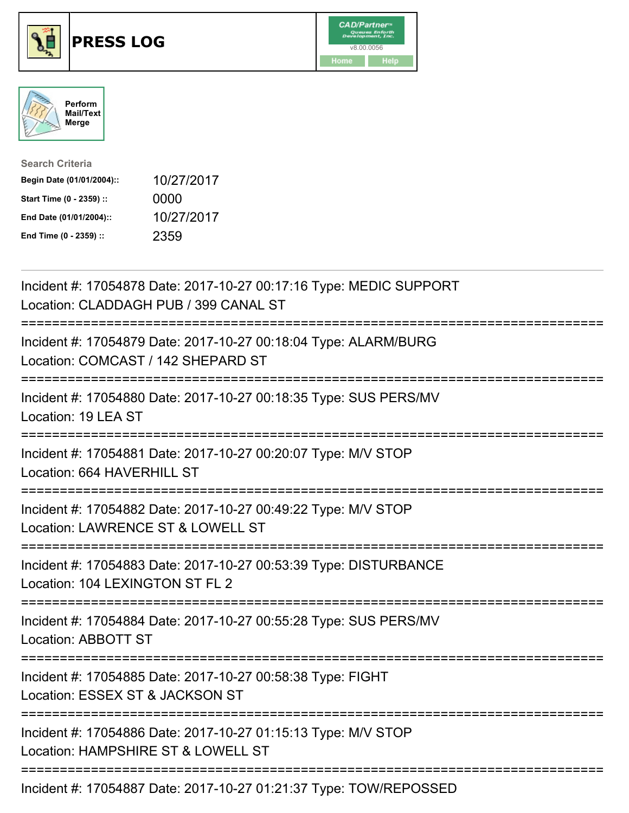





| <b>Search Criteria</b>    |            |
|---------------------------|------------|
| Begin Date (01/01/2004):: | 10/27/2017 |
| Start Time (0 - 2359) ::  | 0000       |
| End Date (01/01/2004)::   | 10/27/2017 |
| End Time (0 - 2359) ::    | 2359       |

| Incident #: 17054878 Date: 2017-10-27 00:17:16 Type: MEDIC SUPPORT<br>Location: CLADDAGH PUB / 399 CANAL ST                                      |
|--------------------------------------------------------------------------------------------------------------------------------------------------|
| Incident #: 17054879 Date: 2017-10-27 00:18:04 Type: ALARM/BURG<br>Location: COMCAST / 142 SHEPARD ST                                            |
| Incident #: 17054880 Date: 2017-10-27 00:18:35 Type: SUS PERS/MV<br>Location: 19 LEA ST                                                          |
| Incident #: 17054881 Date: 2017-10-27 00:20:07 Type: M/V STOP<br>Location: 664 HAVERHILL ST                                                      |
| Incident #: 17054882 Date: 2017-10-27 00:49:22 Type: M/V STOP<br>Location: LAWRENCE ST & LOWELL ST                                               |
| Incident #: 17054883 Date: 2017-10-27 00:53:39 Type: DISTURBANCE<br>Location: 104 LEXINGTON ST FL 2<br>:=======================<br>============= |
| Incident #: 17054884 Date: 2017-10-27 00:55:28 Type: SUS PERS/MV<br>Location: ABBOTT ST                                                          |
| Incident #: 17054885 Date: 2017-10-27 00:58:38 Type: FIGHT<br>Location: ESSEX ST & JACKSON ST<br>============================                    |
| Incident #: 17054886 Date: 2017-10-27 01:15:13 Type: M/V STOP<br>Location: HAMPSHIRE ST & LOWELL ST                                              |
| Incident #: 17054887 Date: 2017-10-27 01:21:37 Type: TOW/REPOSSED                                                                                |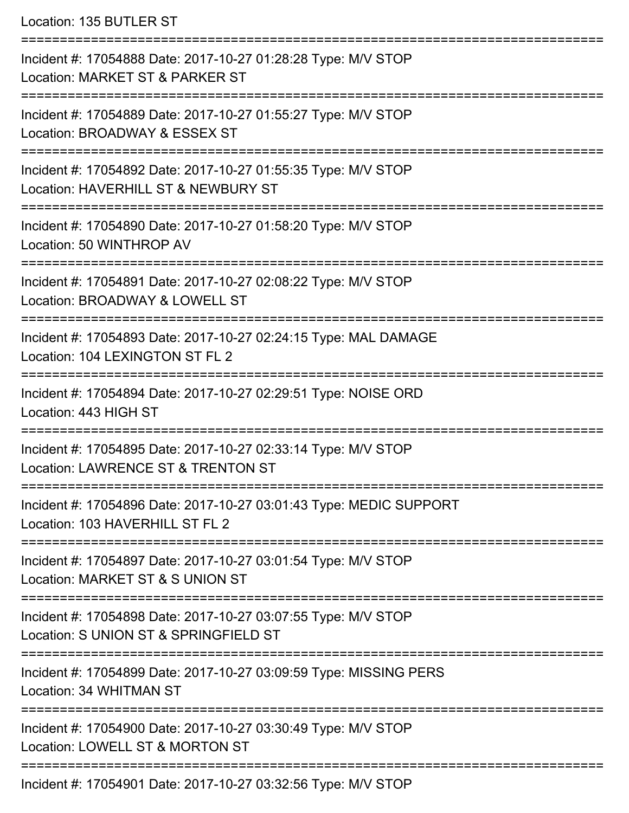Location: 135 BUTLER ST

| Incident #: 17054888 Date: 2017-10-27 01:28:28 Type: M/V STOP<br>Location: MARKET ST & PARKER ST       |
|--------------------------------------------------------------------------------------------------------|
| Incident #: 17054889 Date: 2017-10-27 01:55:27 Type: M/V STOP<br>Location: BROADWAY & ESSEX ST         |
| Incident #: 17054892 Date: 2017-10-27 01:55:35 Type: M/V STOP<br>Location: HAVERHILL ST & NEWBURY ST   |
| Incident #: 17054890 Date: 2017-10-27 01:58:20 Type: M/V STOP<br>Location: 50 WINTHROP AV              |
| Incident #: 17054891 Date: 2017-10-27 02:08:22 Type: M/V STOP<br>Location: BROADWAY & LOWELL ST        |
| Incident #: 17054893 Date: 2017-10-27 02:24:15 Type: MAL DAMAGE<br>Location: 104 LEXINGTON ST FL 2     |
| Incident #: 17054894 Date: 2017-10-27 02:29:51 Type: NOISE ORD<br>Location: 443 HIGH ST                |
| Incident #: 17054895 Date: 2017-10-27 02:33:14 Type: M/V STOP<br>Location: LAWRENCE ST & TRENTON ST    |
| Incident #: 17054896 Date: 2017-10-27 03:01:43 Type: MEDIC SUPPORT<br>Location: 103 HAVERHILL ST FL 2  |
| Incident #: 17054897 Date: 2017-10-27 03:01:54 Type: M/V STOP<br>Location: MARKET ST & S UNION ST      |
| Incident #: 17054898 Date: 2017-10-27 03:07:55 Type: M/V STOP<br>Location: S UNION ST & SPRINGFIELD ST |
| Incident #: 17054899 Date: 2017-10-27 03:09:59 Type: MISSING PERS<br>Location: 34 WHITMAN ST           |
| Incident #: 17054900 Date: 2017-10-27 03:30:49 Type: M/V STOP<br>Location: LOWELL ST & MORTON ST       |
| Incident #: 17054901 Date: 2017-10-27 03:32:56 Type: M/V STOP                                          |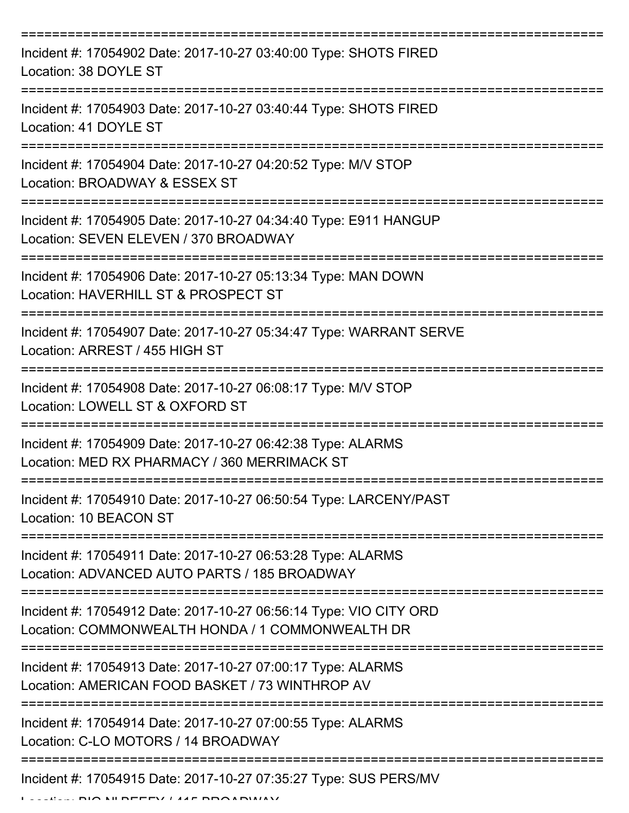| Incident #: 17054902 Date: 2017-10-27 03:40:00 Type: SHOTS FIRED<br>Location: 38 DOYLE ST                             |
|-----------------------------------------------------------------------------------------------------------------------|
| Incident #: 17054903 Date: 2017-10-27 03:40:44 Type: SHOTS FIRED<br>Location: 41 DOYLE ST                             |
| Incident #: 17054904 Date: 2017-10-27 04:20:52 Type: M/V STOP<br>Location: BROADWAY & ESSEX ST                        |
| Incident #: 17054905 Date: 2017-10-27 04:34:40 Type: E911 HANGUP<br>Location: SEVEN ELEVEN / 370 BROADWAY             |
| Incident #: 17054906 Date: 2017-10-27 05:13:34 Type: MAN DOWN<br>Location: HAVERHILL ST & PROSPECT ST                 |
| Incident #: 17054907 Date: 2017-10-27 05:34:47 Type: WARRANT SERVE<br>Location: ARREST / 455 HIGH ST                  |
| Incident #: 17054908 Date: 2017-10-27 06:08:17 Type: M/V STOP<br>Location: LOWELL ST & OXFORD ST                      |
| Incident #: 17054909 Date: 2017-10-27 06:42:38 Type: ALARMS<br>Location: MED RX PHARMACY / 360 MERRIMACK ST           |
| Incident #: 17054910 Date: 2017-10-27 06:50:54 Type: LARCENY/PAST<br>Location: 10 BEACON ST                           |
| Incident #: 17054911 Date: 2017-10-27 06:53:28 Type: ALARMS<br>Location: ADVANCED AUTO PARTS / 185 BROADWAY           |
| Incident #: 17054912 Date: 2017-10-27 06:56:14 Type: VIO CITY ORD<br>Location: COMMONWEALTH HONDA / 1 COMMONWEALTH DR |
| Incident #: 17054913 Date: 2017-10-27 07:00:17 Type: ALARMS<br>Location: AMERICAN FOOD BASKET / 73 WINTHROP AV        |
| Incident #: 17054914 Date: 2017-10-27 07:00:55 Type: ALARMS<br>Location: C-LO MOTORS / 14 BROADWAY                    |
| Incident #: 17054915 Date: 2017-10-27 07:35:27 Type: SUS PERS/MV                                                      |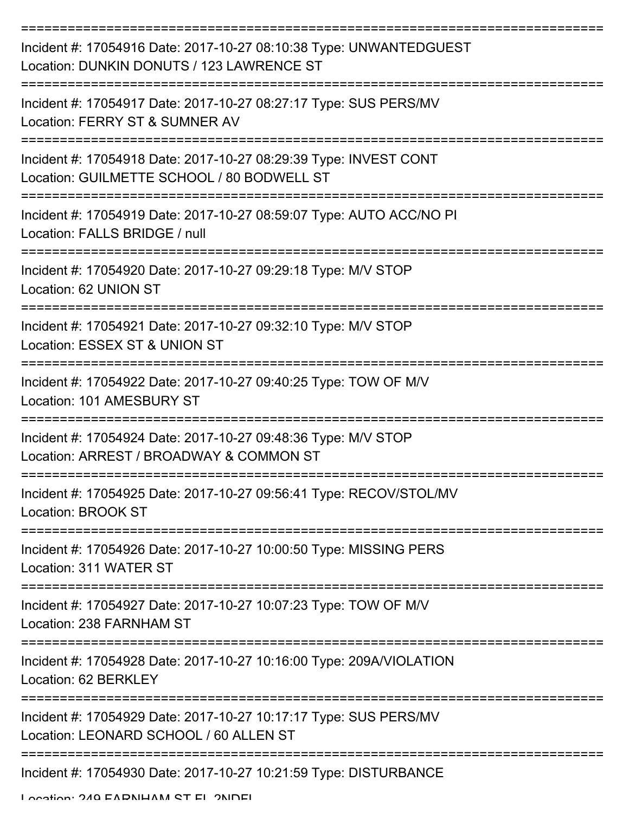| Incident #: 17054916 Date: 2017-10-27 08:10:38 Type: UNWANTEDGUEST<br>Location: DUNKIN DONUTS / 123 LAWRENCE ST |
|-----------------------------------------------------------------------------------------------------------------|
| Incident #: 17054917 Date: 2017-10-27 08:27:17 Type: SUS PERS/MV<br>Location: FERRY ST & SUMNER AV              |
| Incident #: 17054918 Date: 2017-10-27 08:29:39 Type: INVEST CONT<br>Location: GUILMETTE SCHOOL / 80 BODWELL ST  |
| Incident #: 17054919 Date: 2017-10-27 08:59:07 Type: AUTO ACC/NO PI<br>Location: FALLS BRIDGE / null            |
| Incident #: 17054920 Date: 2017-10-27 09:29:18 Type: M/V STOP<br>Location: 62 UNION ST                          |
| Incident #: 17054921 Date: 2017-10-27 09:32:10 Type: M/V STOP<br>Location: ESSEX ST & UNION ST                  |
| Incident #: 17054922 Date: 2017-10-27 09:40:25 Type: TOW OF M/V<br>Location: 101 AMESBURY ST                    |
| Incident #: 17054924 Date: 2017-10-27 09:48:36 Type: M/V STOP<br>Location: ARREST / BROADWAY & COMMON ST        |
| Incident #: 17054925 Date: 2017-10-27 09:56:41 Type: RECOV/STOL/MV<br>Location: BROOK ST                        |
| Incident #: 17054926 Date: 2017-10-27 10:00:50 Type: MISSING PERS<br>Location: 311 WATER ST                     |
| Incident #: 17054927 Date: 2017-10-27 10:07:23 Type: TOW OF M/V<br>Location: 238 FARNHAM ST                     |
| Incident #: 17054928 Date: 2017-10-27 10:16:00 Type: 209A/VIOLATION<br>Location: 62 BERKLEY                     |
| Incident #: 17054929 Date: 2017-10-27 10:17:17 Type: SUS PERS/MV<br>Location: LEONARD SCHOOL / 60 ALLEN ST      |
| Incident #: 17054930 Date: 2017-10-27 10:21:59 Type: DISTURBANCE                                                |

Location: 240 EADNIHAM ST EL 2NDEL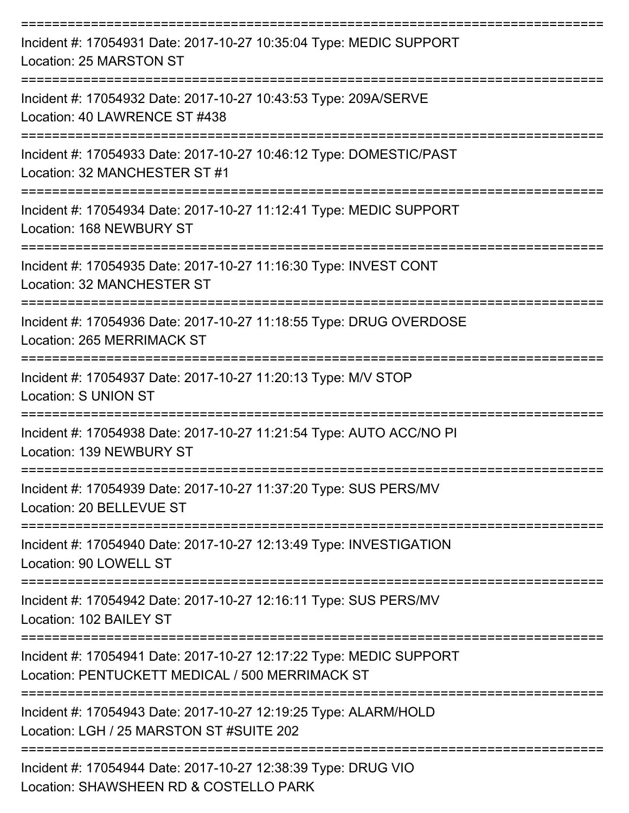| Incident #: 17054931 Date: 2017-10-27 10:35:04 Type: MEDIC SUPPORT<br>Location: 25 MARSTON ST                         |
|-----------------------------------------------------------------------------------------------------------------------|
| Incident #: 17054932 Date: 2017-10-27 10:43:53 Type: 209A/SERVE<br>Location: 40 LAWRENCE ST #438                      |
| Incident #: 17054933 Date: 2017-10-27 10:46:12 Type: DOMESTIC/PAST<br>Location: 32 MANCHESTER ST #1<br>:============= |
| Incident #: 17054934 Date: 2017-10-27 11:12:41 Type: MEDIC SUPPORT<br>Location: 168 NEWBURY ST                        |
| ---------------<br>Incident #: 17054935 Date: 2017-10-27 11:16:30 Type: INVEST CONT<br>Location: 32 MANCHESTER ST     |
| Incident #: 17054936 Date: 2017-10-27 11:18:55 Type: DRUG OVERDOSE<br>Location: 265 MERRIMACK ST                      |
| ===============<br>Incident #: 17054937 Date: 2017-10-27 11:20:13 Type: M/V STOP<br><b>Location: S UNION ST</b>       |
| Incident #: 17054938 Date: 2017-10-27 11:21:54 Type: AUTO ACC/NO PI<br>Location: 139 NEWBURY ST                       |
| Incident #: 17054939 Date: 2017-10-27 11:37:20 Type: SUS PERS/MV<br>Location: 20 BELLEVUE ST                          |
| Incident #: 17054940 Date: 2017-10-27 12:13:49 Type: INVESTIGATION<br>Location: 90 LOWELL ST                          |
| Incident #: 17054942 Date: 2017-10-27 12:16:11 Type: SUS PERS/MV<br>Location: 102 BAILEY ST                           |
| Incident #: 17054941 Date: 2017-10-27 12:17:22 Type: MEDIC SUPPORT<br>Location: PENTUCKETT MEDICAL / 500 MERRIMACK ST |
| Incident #: 17054943 Date: 2017-10-27 12:19:25 Type: ALARM/HOLD<br>Location: LGH / 25 MARSTON ST #SUITE 202           |
| Incident #: 17054944 Date: 2017-10-27 12:38:39 Type: DRUG VIO<br>Location: SHAWSHEEN RD & COSTELLO PARK               |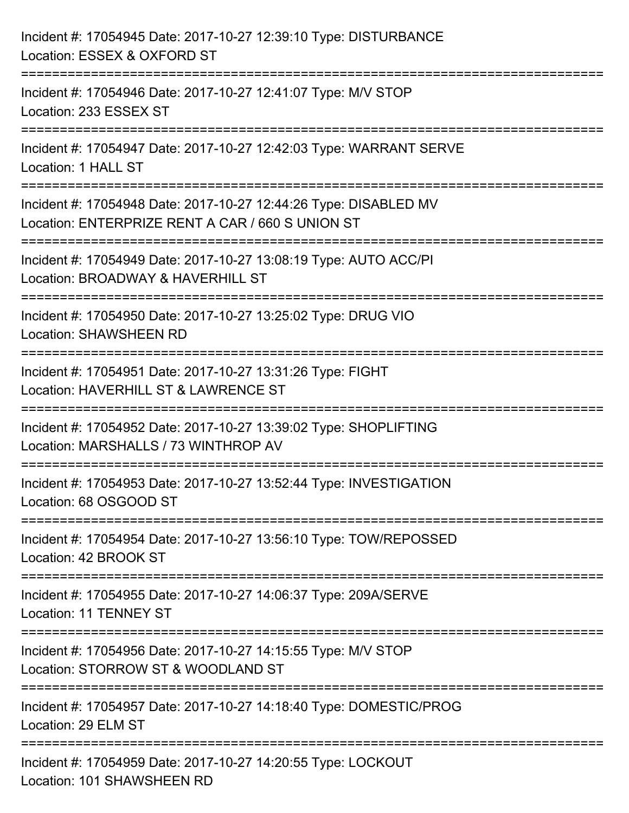| Incident #: 17054945 Date: 2017-10-27 12:39:10 Type: DISTURBANCE<br>Location: ESSEX & OXFORD ST                                  |
|----------------------------------------------------------------------------------------------------------------------------------|
| ========================<br>Incident #: 17054946 Date: 2017-10-27 12:41:07 Type: M/V STOP<br>Location: 233 ESSEX ST              |
| Incident #: 17054947 Date: 2017-10-27 12:42:03 Type: WARRANT SERVE<br>Location: 1 HALL ST<br>=================================== |
| Incident #: 17054948 Date: 2017-10-27 12:44:26 Type: DISABLED MV<br>Location: ENTERPRIZE RENT A CAR / 660 S UNION ST             |
| Incident #: 17054949 Date: 2017-10-27 13:08:19 Type: AUTO ACC/PI<br>Location: BROADWAY & HAVERHILL ST                            |
| :================<br>Incident #: 17054950 Date: 2017-10-27 13:25:02 Type: DRUG VIO<br><b>Location: SHAWSHEEN RD</b>              |
| Incident #: 17054951 Date: 2017-10-27 13:31:26 Type: FIGHT<br>Location: HAVERHILL ST & LAWRENCE ST                               |
| Incident #: 17054952 Date: 2017-10-27 13:39:02 Type: SHOPLIFTING<br>Location: MARSHALLS / 73 WINTHROP AV                         |
| Incident #: 17054953 Date: 2017-10-27 13:52:44 Type: INVESTIGATION<br>Location: 68 OSGOOD ST                                     |
| Incident #: 17054954 Date: 2017-10-27 13:56:10 Type: TOW/REPOSSED<br>Location: 42 BROOK ST                                       |
| Incident #: 17054955 Date: 2017-10-27 14:06:37 Type: 209A/SERVE<br><b>Location: 11 TENNEY ST</b>                                 |
| Incident #: 17054956 Date: 2017-10-27 14:15:55 Type: M/V STOP<br>Location: STORROW ST & WOODLAND ST                              |
| Incident #: 17054957 Date: 2017-10-27 14:18:40 Type: DOMESTIC/PROG<br>Location: 29 ELM ST                                        |
| Incident #: 17054959 Date: 2017-10-27 14:20:55 Type: LOCKOUT<br>Location: 101 SHAWSHEEN RD                                       |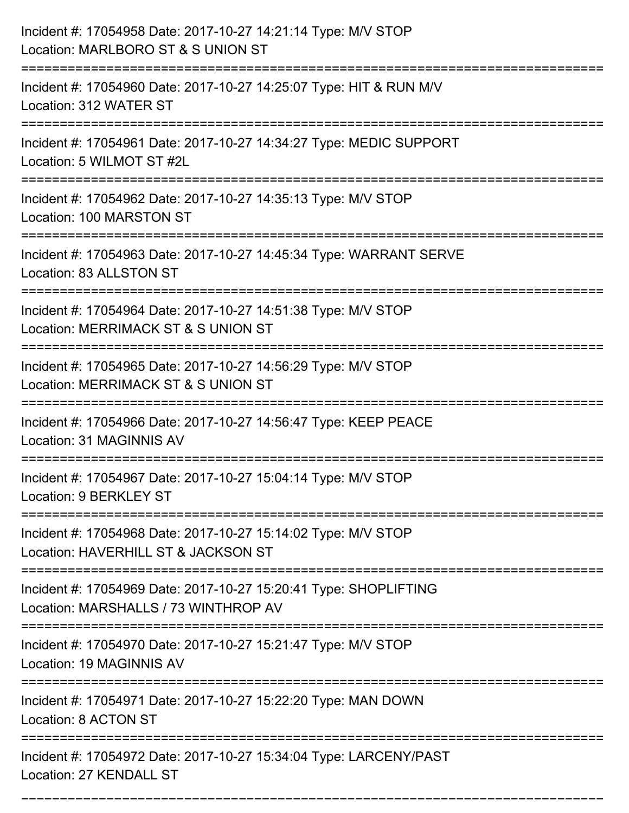| Incident #: 17054958 Date: 2017-10-27 14:21:14 Type: M/V STOP<br>Location: MARLBORO ST & S UNION ST                  |
|----------------------------------------------------------------------------------------------------------------------|
| Incident #: 17054960 Date: 2017-10-27 14:25:07 Type: HIT & RUN M/V<br>Location: 312 WATER ST                         |
| Incident #: 17054961 Date: 2017-10-27 14:34:27 Type: MEDIC SUPPORT<br>Location: 5 WILMOT ST #2L                      |
| Incident #: 17054962 Date: 2017-10-27 14:35:13 Type: M/V STOP<br>Location: 100 MARSTON ST                            |
| Incident #: 17054963 Date: 2017-10-27 14:45:34 Type: WARRANT SERVE<br>Location: 83 ALLSTON ST                        |
| Incident #: 17054964 Date: 2017-10-27 14:51:38 Type: M/V STOP<br>Location: MERRIMACK ST & S UNION ST                 |
| Incident #: 17054965 Date: 2017-10-27 14:56:29 Type: M/V STOP<br>Location: MERRIMACK ST & S UNION ST                 |
| Incident #: 17054966 Date: 2017-10-27 14:56:47 Type: KEEP PEACE<br>Location: 31 MAGINNIS AV                          |
| Incident #: 17054967 Date: 2017-10-27 15:04:14 Type: M/V STOP<br>Location: 9 BERKLEY ST                              |
| Incident #: 17054968 Date: 2017-10-27 15:14:02 Type: M/V STOP<br>Location: HAVERHILL ST & JACKSON ST                 |
| Incident #: 17054969 Date: 2017-10-27 15:20:41 Type: SHOPLIFTING<br>Location: MARSHALLS / 73 WINTHROP AV             |
| Incident #: 17054970 Date: 2017-10-27 15:21:47 Type: M/V STOP<br>Location: 19 MAGINNIS AV                            |
| ===========================<br>Incident #: 17054971 Date: 2017-10-27 15:22:20 Type: MAN DOWN<br>Location: 8 ACTON ST |
| Incident #: 17054972 Date: 2017-10-27 15:34:04 Type: LARCENY/PAST<br>Location: 27 KENDALL ST                         |

===========================================================================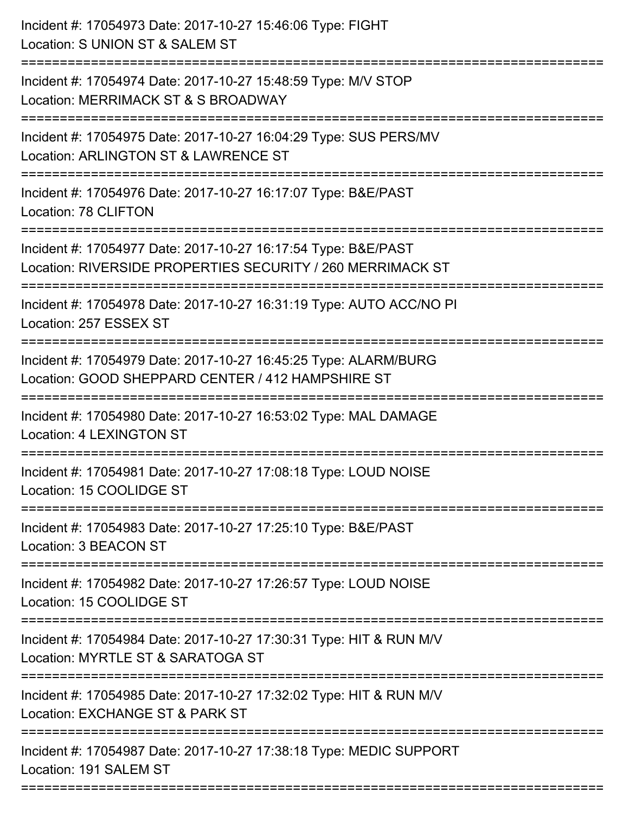| Incident #: 17054973 Date: 2017-10-27 15:46:06 Type: FIGHT<br>Location: S UNION ST & SALEM ST                               |
|-----------------------------------------------------------------------------------------------------------------------------|
| Incident #: 17054974 Date: 2017-10-27 15:48:59 Type: M/V STOP<br>Location: MERRIMACK ST & S BROADWAY                        |
| Incident #: 17054975 Date: 2017-10-27 16:04:29 Type: SUS PERS/MV<br>Location: ARLINGTON ST & LAWRENCE ST                    |
| Incident #: 17054976 Date: 2017-10-27 16:17:07 Type: B&E/PAST<br>Location: 78 CLIFTON                                       |
| Incident #: 17054977 Date: 2017-10-27 16:17:54 Type: B&E/PAST<br>Location: RIVERSIDE PROPERTIES SECURITY / 260 MERRIMACK ST |
| Incident #: 17054978 Date: 2017-10-27 16:31:19 Type: AUTO ACC/NO PI<br>Location: 257 ESSEX ST                               |
| Incident #: 17054979 Date: 2017-10-27 16:45:25 Type: ALARM/BURG<br>Location: GOOD SHEPPARD CENTER / 412 HAMPSHIRE ST        |
| Incident #: 17054980 Date: 2017-10-27 16:53:02 Type: MAL DAMAGE<br><b>Location: 4 LEXINGTON ST</b>                          |
| Incident #: 17054981 Date: 2017-10-27 17:08:18 Type: LOUD NOISE<br>Location: 15 COOLIDGE ST                                 |
| Incident #: 17054983 Date: 2017-10-27 17:25:10 Type: B&E/PAST<br>Location: 3 BEACON ST                                      |
| Incident #: 17054982 Date: 2017-10-27 17:26:57 Type: LOUD NOISE<br>Location: 15 COOLIDGE ST                                 |
| Incident #: 17054984 Date: 2017-10-27 17:30:31 Type: HIT & RUN M/V<br>Location: MYRTLE ST & SARATOGA ST                     |
| Incident #: 17054985 Date: 2017-10-27 17:32:02 Type: HIT & RUN M/V<br>Location: EXCHANGE ST & PARK ST                       |
| Incident #: 17054987 Date: 2017-10-27 17:38:18 Type: MEDIC SUPPORT<br>Location: 191 SALEM ST                                |
|                                                                                                                             |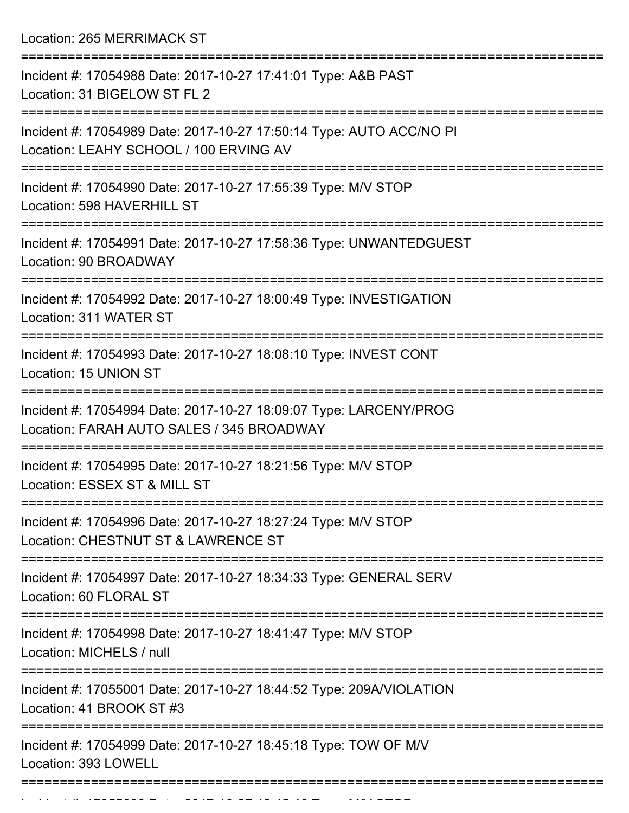Location: 265 MERRIMACK ST

| Incident #: 17054988 Date: 2017-10-27 17:41:01 Type: A&B PAST<br>Location: 31 BIGELOW ST FL 2                  |
|----------------------------------------------------------------------------------------------------------------|
| Incident #: 17054989 Date: 2017-10-27 17:50:14 Type: AUTO ACC/NO PI<br>Location: LEAHY SCHOOL / 100 ERVING AV  |
| Incident #: 17054990 Date: 2017-10-27 17:55:39 Type: M/V STOP<br>Location: 598 HAVERHILL ST                    |
| Incident #: 17054991 Date: 2017-10-27 17:58:36 Type: UNWANTEDGUEST<br>Location: 90 BROADWAY                    |
| Incident #: 17054992 Date: 2017-10-27 18:00:49 Type: INVESTIGATION<br>Location: 311 WATER ST                   |
| Incident #: 17054993 Date: 2017-10-27 18:08:10 Type: INVEST CONT<br>Location: 15 UNION ST                      |
| Incident #: 17054994 Date: 2017-10-27 18:09:07 Type: LARCENY/PROG<br>Location: FARAH AUTO SALES / 345 BROADWAY |
| Incident #: 17054995 Date: 2017-10-27 18:21:56 Type: M/V STOP<br>Location: ESSEX ST & MILL ST                  |
| Incident #: 17054996 Date: 2017-10-27 18:27:24 Type: M/V STOP<br>Location: CHESTNUT ST & LAWRENCE ST           |
| Incident #: 17054997 Date: 2017-10-27 18:34:33 Type: GENERAL SERV<br>Location: 60 FLORAL ST                    |
| Incident #: 17054998 Date: 2017-10-27 18:41:47 Type: M/V STOP<br>Location: MICHELS / null                      |
| Incident #: 17055001 Date: 2017-10-27 18:44:52 Type: 209A/VIOLATION<br>Location: 41 BROOK ST #3                |
| Incident #: 17054999 Date: 2017-10-27 18:45:18 Type: TOW OF M/V<br>Location: 393 LOWELL                        |
|                                                                                                                |

Incident #: 17055000 Date: 2017 10 27 18:45:46 Type: M/V STOP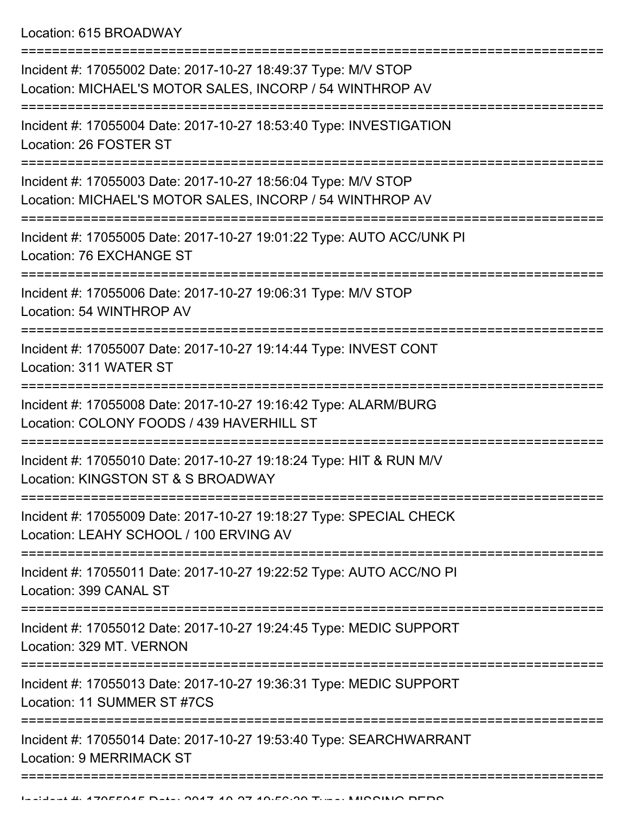Location: 615 BROADWAY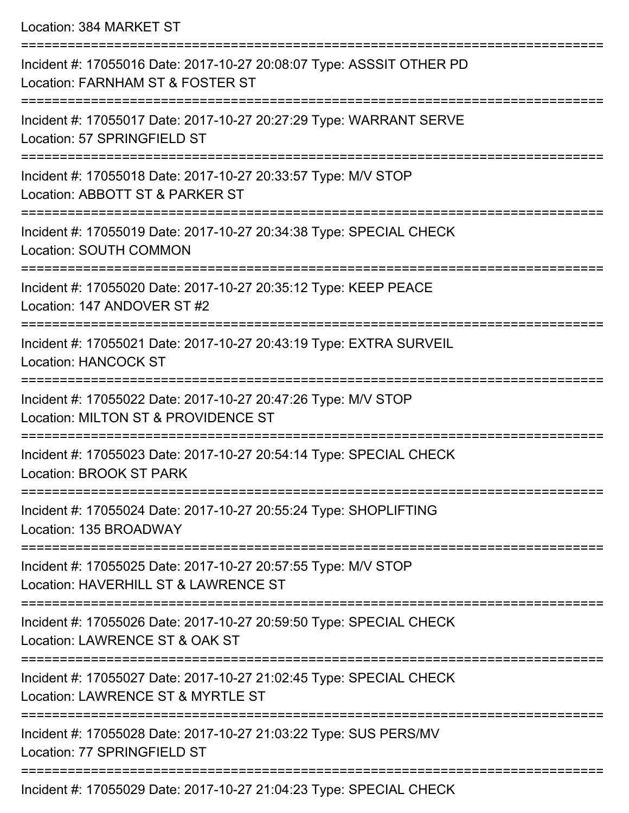Location: 384 MARKET ST

| Incident #: 17055016 Date: 2017-10-27 20:08:07 Type: ASSSIT OTHER PD<br>Location: FARNHAM ST & FOSTER ST             |
|----------------------------------------------------------------------------------------------------------------------|
| Incident #: 17055017 Date: 2017-10-27 20:27:29 Type: WARRANT SERVE<br>Location: 57 SPRINGFIELD ST<br>=============== |
| Incident #: 17055018 Date: 2017-10-27 20:33:57 Type: M/V STOP<br>Location: ABBOTT ST & PARKER ST                     |
| Incident #: 17055019 Date: 2017-10-27 20:34:38 Type: SPECIAL CHECK<br><b>Location: SOUTH COMMON</b>                  |
| Incident #: 17055020 Date: 2017-10-27 20:35:12 Type: KEEP PEACE<br>Location: 147 ANDOVER ST #2                       |
| Incident #: 17055021 Date: 2017-10-27 20:43:19 Type: EXTRA SURVEIL<br><b>Location: HANCOCK ST</b>                    |
| Incident #: 17055022 Date: 2017-10-27 20:47:26 Type: M/V STOP<br>Location: MILTON ST & PROVIDENCE ST                 |
| Incident #: 17055023 Date: 2017-10-27 20:54:14 Type: SPECIAL CHECK<br>Location: BROOK ST PARK                        |
| Incident #: 17055024 Date: 2017-10-27 20:55:24 Type: SHOPLIFTING<br>Location: 135 BROADWAY                           |
| Incident #: 17055025 Date: 2017-10-27 20:57:55 Type: M/V STOP<br>Location: HAVERHILL ST & LAWRENCE ST                |
| Incident #: 17055026 Date: 2017-10-27 20:59:50 Type: SPECIAL CHECK<br>Location: LAWRENCE ST & OAK ST                 |
| Incident #: 17055027 Date: 2017-10-27 21:02:45 Type: SPECIAL CHECK<br>Location: LAWRENCE ST & MYRTLE ST              |
| Incident #: 17055028 Date: 2017-10-27 21:03:22 Type: SUS PERS/MV<br>Location: 77 SPRINGFIELD ST                      |
| 0.01710070404007<br>$\begin{array}{c} \n \bigcap \Gamma \cap \{1,1\} & \bigcap \Gamma \cap \Gamma \n \end{array}$    |

Incident #: 17055029 Date: 2017-10-27 21:04:23 Type: SPECIAL CHECK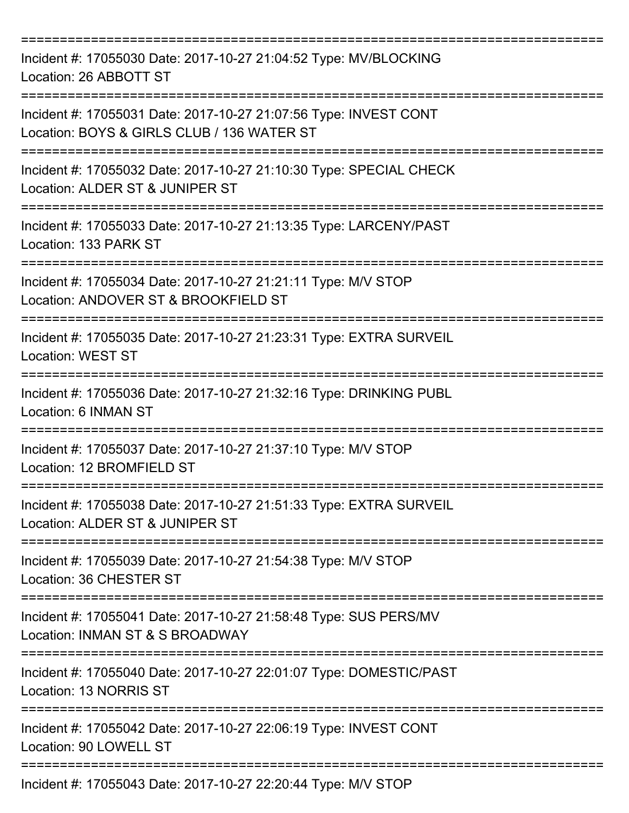| Incident #: 17055030 Date: 2017-10-27 21:04:52 Type: MV/BLOCKING<br>Location: 26 ABBOTT ST                                                                       |
|------------------------------------------------------------------------------------------------------------------------------------------------------------------|
| Incident #: 17055031 Date: 2017-10-27 21:07:56 Type: INVEST CONT<br>Location: BOYS & GIRLS CLUB / 136 WATER ST                                                   |
| Incident #: 17055032 Date: 2017-10-27 21:10:30 Type: SPECIAL CHECK<br>Location: ALDER ST & JUNIPER ST                                                            |
| Incident #: 17055033 Date: 2017-10-27 21:13:35 Type: LARCENY/PAST<br>Location: 133 PARK ST<br>-----------------------                                            |
| Incident #: 17055034 Date: 2017-10-27 21:21:11 Type: M/V STOP<br>Location: ANDOVER ST & BROOKFIELD ST                                                            |
| Incident #: 17055035 Date: 2017-10-27 21:23:31 Type: EXTRA SURVEIL<br><b>Location: WEST ST</b>                                                                   |
| Incident #: 17055036 Date: 2017-10-27 21:32:16 Type: DRINKING PUBL<br>Location: 6 INMAN ST                                                                       |
| Incident #: 17055037 Date: 2017-10-27 21:37:10 Type: M/V STOP<br>Location: 12 BROMFIELD ST<br>-------------------------------<br>------------------------------- |
| Incident #: 17055038 Date: 2017-10-27 21:51:33 Type: EXTRA SURVEIL<br>Location: ALDER ST & JUNIPER ST                                                            |
| Incident #: 17055039 Date: 2017-10-27 21:54:38 Type: M/V STOP<br>Location: 36 CHESTER ST                                                                         |
| Incident #: 17055041 Date: 2017-10-27 21:58:48 Type: SUS PERS/MV<br>Location: INMAN ST & S BROADWAY                                                              |
| Incident #: 17055040 Date: 2017-10-27 22:01:07 Type: DOMESTIC/PAST<br>Location: 13 NORRIS ST                                                                     |
| Incident #: 17055042 Date: 2017-10-27 22:06:19 Type: INVEST CONT<br>Location: 90 LOWELL ST                                                                       |
| Incident #: 17055043 Date: 2017-10-27 22:20:44 Type: M/V STOP                                                                                                    |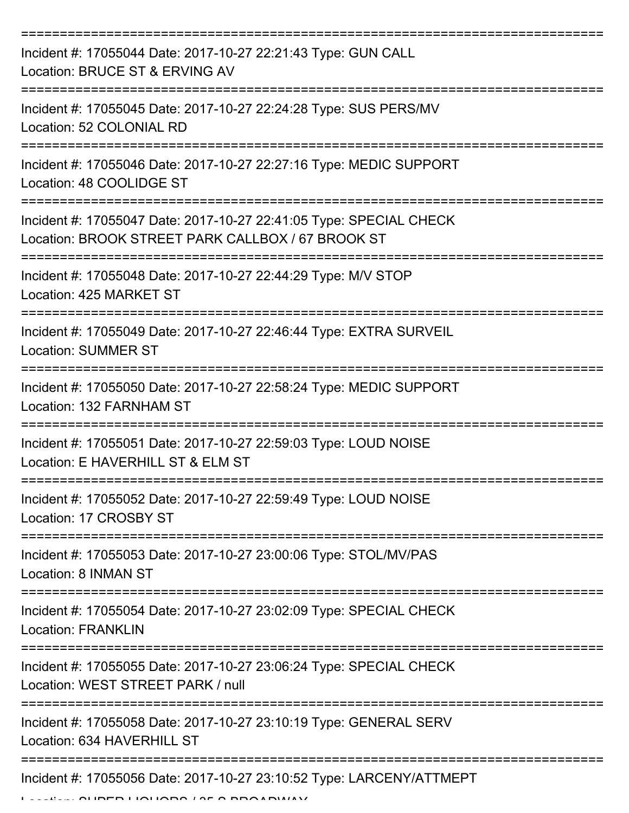| Incident #: 17055044 Date: 2017-10-27 22:21:43 Type: GUN CALL<br>Location: BRUCE ST & ERVING AV                         |
|-------------------------------------------------------------------------------------------------------------------------|
| Incident #: 17055045 Date: 2017-10-27 22:24:28 Type: SUS PERS/MV<br>Location: 52 COLONIAL RD                            |
| Incident #: 17055046 Date: 2017-10-27 22:27:16 Type: MEDIC SUPPORT<br>Location: 48 COOLIDGE ST                          |
| Incident #: 17055047 Date: 2017-10-27 22:41:05 Type: SPECIAL CHECK<br>Location: BROOK STREET PARK CALLBOX / 67 BROOK ST |
| Incident #: 17055048 Date: 2017-10-27 22:44:29 Type: M/V STOP<br>Location: 425 MARKET ST                                |
| Incident #: 17055049 Date: 2017-10-27 22:46:44 Type: EXTRA SURVEIL<br><b>Location: SUMMER ST</b>                        |
| Incident #: 17055050 Date: 2017-10-27 22:58:24 Type: MEDIC SUPPORT<br>Location: 132 FARNHAM ST                          |
| Incident #: 17055051 Date: 2017-10-27 22:59:03 Type: LOUD NOISE<br>Location: E HAVERHILL ST & ELM ST                    |
| Incident #: 17055052 Date: 2017-10-27 22:59:49 Type: LOUD NOISE<br>Location: 17 CROSBY ST                               |
| ===================<br>Incident #: 17055053 Date: 2017-10-27 23:00:06 Type: STOL/MV/PAS<br>Location: 8 INMAN ST         |
| Incident #: 17055054 Date: 2017-10-27 23:02:09 Type: SPECIAL CHECK<br><b>Location: FRANKLIN</b>                         |
| Incident #: 17055055 Date: 2017-10-27 23:06:24 Type: SPECIAL CHECK<br>Location: WEST STREET PARK / null                 |
| Incident #: 17055058 Date: 2017-10-27 23:10:19 Type: GENERAL SERV<br>Location: 634 HAVERHILL ST                         |
| Incident #: 17055056 Date: 2017-10-27 23:10:52 Type: LARCENY/ATTMEPT                                                    |